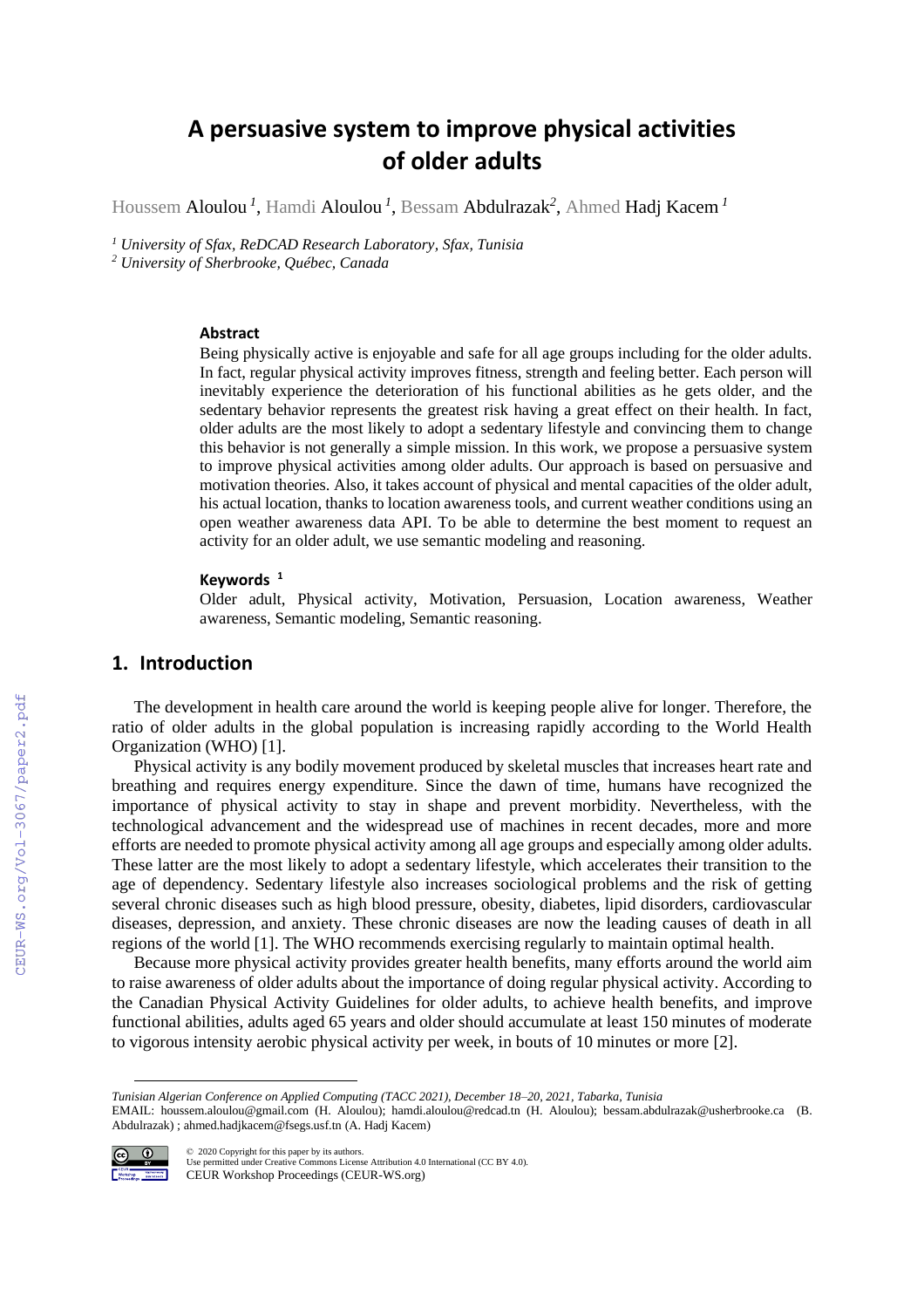# **A persuasive system to improve physical activities of older adults**

Houssem Aloulou *<sup>1</sup>* , Hamdi Aloulou *<sup>1</sup>* , Bessam Abdulrazak*<sup>2</sup>* , Ahmed Hadj Kacem *<sup>1</sup>*

*<sup>1</sup> University of Sfax, ReDCAD Research Laboratory, Sfax, Tunisia*

*<sup>2</sup> University of Sherbrooke, Québec, Canada*

### **Abstract**

Being physically active is enjoyable and safe for all age groups including for the older adults. In fact, regular physical activity improves fitness, strength and feeling better. Each person will inevitably experience the deterioration of his functional abilities as he gets older, and the sedentary behavior represents the greatest risk having a great effect on their health. In fact, older adults are the most likely to adopt a sedentary lifestyle and convincing them to change this behavior is not generally a simple mission. In this work, we propose a persuasive system to improve physical activities among older adults. Our approach is based on persuasive and motivation theories. Also, it takes account of physical and mental capacities of the older adult, his actual location, thanks to location awareness tools, and current weather conditions using an open weather awareness data API. To be able to determine the best moment to request an activity for an older adult, we use semantic modeling and reasoning.

#### **Keywords <sup>1</sup>**

Older adult, Physical activity, Motivation, Persuasion, Location awareness, Weather awareness, Semantic modeling, Semantic reasoning.

### **1. Introduction**

The development in health care around the world is keeping people alive for longer. Therefore, the ratio of older adults in the global population is increasing rapidly according to the World Health Organization (WHO) [1].

Physical activity is any bodily movement produced by skeletal muscles that increases heart rate and breathing and requires energy expenditure. Since the dawn of time, humans have recognized the importance of physical activity to stay in shape and prevent morbidity. Nevertheless, with the technological advancement and the widespread use of machines in recent decades, more and more efforts are needed to promote physical activity among all age groups and especially among older adults. These latter are the most likely to adopt a sedentary lifestyle, which accelerates their transition to the age of dependency. Sedentary lifestyle also increases sociological problems and the risk of getting several chronic diseases such as high blood pressure, obesity, diabetes, lipid disorders, cardiovascular diseases, depression, and anxiety. These chronic diseases are now the leading causes of death in all regions of the world [1]. The WHO recommends exercising regularly to maintain optimal health.

Because more physical activity provides greater health benefits, many efforts around the world aim to raise awareness of older adults about the importance of doing regular physical activity. According to the Canadian Physical Activity Guidelines for older adults, to achieve health benefits, and improve functional abilities, adults aged 65 years and older should accumulate at least 150 minutes of moderate to vigorous intensity aerobic physical activity per week, in bouts of 10 minutes or more [2].

EMAIL: houssem.aloulou@gmail.com (H. Aloulou); hamdi.aloulou@redcad.tn (H. Aloulou); bessam.abdulrazak@usherbrooke.ca (B. Abdulrazak) ; [ahmed.hadjkacem@fsegs.usf.tn](mailto:ahmed.hadjkacem@fsegs.usf.tn) (A. Hadj Kacem)



©️ 2020 Copyright for this paper by its authors. Use permitted under Creative Commons License Attribution 4.0 International (CC BY 4.0). CEUR Workshop Proceedings (CEUR-WS.org)

*Tunisian Algerian Conference on Applied Computing (TACC 2021), December 18–20, 2021, Tabarka, Tunisia*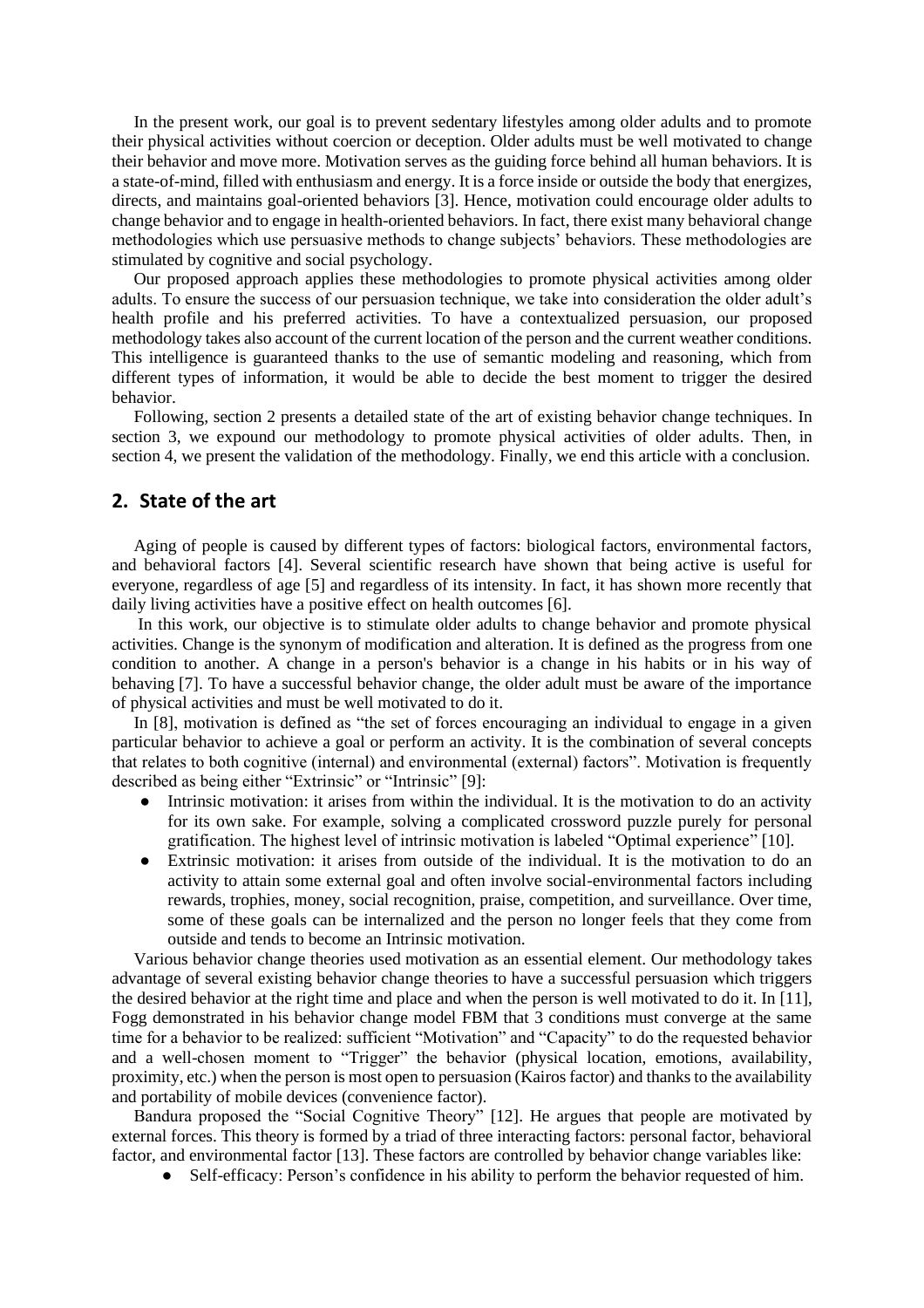In the present work, our goal is to prevent sedentary lifestyles among older adults and to promote their physical activities without coercion or deception. Older adults must be well motivated to change their behavior and move more. Motivation serves as the guiding force behind all human behaviors. It is a state-of-mind, filled with enthusiasm and energy. It is a force inside or outside the body that energizes, directs, and maintains goal-oriented behaviors [3]. Hence, motivation could encourage older adults to change behavior and to engage in health-oriented behaviors. In fact, there exist many behavioral change methodologies which use persuasive methods to change subjects' behaviors. These methodologies are stimulated by cognitive and social psychology.

Our proposed approach applies these methodologies to promote physical activities among older adults. To ensure the success of our persuasion technique, we take into consideration the older adult's health profile and his preferred activities. To have a contextualized persuasion, our proposed methodology takes also account of the current location of the person and the current weather conditions. This intelligence is guaranteed thanks to the use of semantic modeling and reasoning, which from different types of information, it would be able to decide the best moment to trigger the desired behavior.

Following, section 2 presents a detailed state of the art of existing behavior change techniques. In section 3, we expound our methodology to promote physical activities of older adults. Then, in section 4, we present the validation of the methodology. Finally, we end this article with a conclusion.

### **2. State of the art**

Aging of people is caused by different types of factors: biological factors, environmental factors, and behavioral factors [4]. Several scientific research have shown that being active is useful for everyone, regardless of age [5] and regardless of its intensity. In fact, it has shown more recently that daily living activities have a positive effect on health outcomes [6].

In this work, our objective is to stimulate older adults to change behavior and promote physical activities. Change is the synonym of modification and alteration. It is defined as the progress from one condition to another. A change in a person's behavior is a change in his habits or in his way of behaving [7]. To have a successful behavior change, the older adult must be aware of the importance of physical activities and must be well motivated to do it.

In [8], motivation is defined as "the set of forces encouraging an individual to engage in a given particular behavior to achieve a goal or perform an activity. It is the combination of several concepts that relates to both cognitive (internal) and environmental (external) factors". Motivation is frequently described as being either "Extrinsic" or "Intrinsic" [9]:

- [Intrinsic motivation:](https://www.verywellmind.com/what-is-intrinsic-motivation-2795385) it arises from within the individual. It is the motivation to do an activity for its own sake. For example, solving a complicated crossword puzzle purely for personal gratification. The highest level of intrinsic motivation is labeled "Optimal experience" [10].
- [Extrinsic motivation:](https://www.verywellmind.com/what-is-extrinsic-motivation-2795164) it arises from outside of the individual. It is the motivation to do an activity to attain some external goal and often involve social-environmental factors including rewards, trophies, money, social recognition, praise, competition, and surveillance. Over time, some of these goals can be internalized and the person no longer feels that they come from outside and tends to become an Intrinsic motivation.

Various behavior change theories used motivation as an essential element. Our methodology takes advantage of several existing behavior change theories to have a successful persuasion which triggers the desired behavior at the right time and place and when the person is well motivated to do it. In [11], Fogg demonstrated in his behavior change model FBM that 3 conditions must converge at the same time for a behavior to be realized: sufficient "Motivation" and "Capacity" to do the requested behavior and a well-chosen moment to "Trigger" the behavior (physical location, emotions, availability, proximity, etc.) when the person is most open to persuasion (Kairos factor) and thanks to the availability and portability of mobile devices (convenience factor).

Bandura proposed the "Social Cognitive Theory" [12]. He argues that people are motivated by external forces. This theory is formed by a triad of three interacting factors: personal factor, behavioral factor, and environmental factor [13]. These factors are controlled by behavior change variables like:

• Self-efficacy: Person's confidence in his ability to perform the behavior requested of him.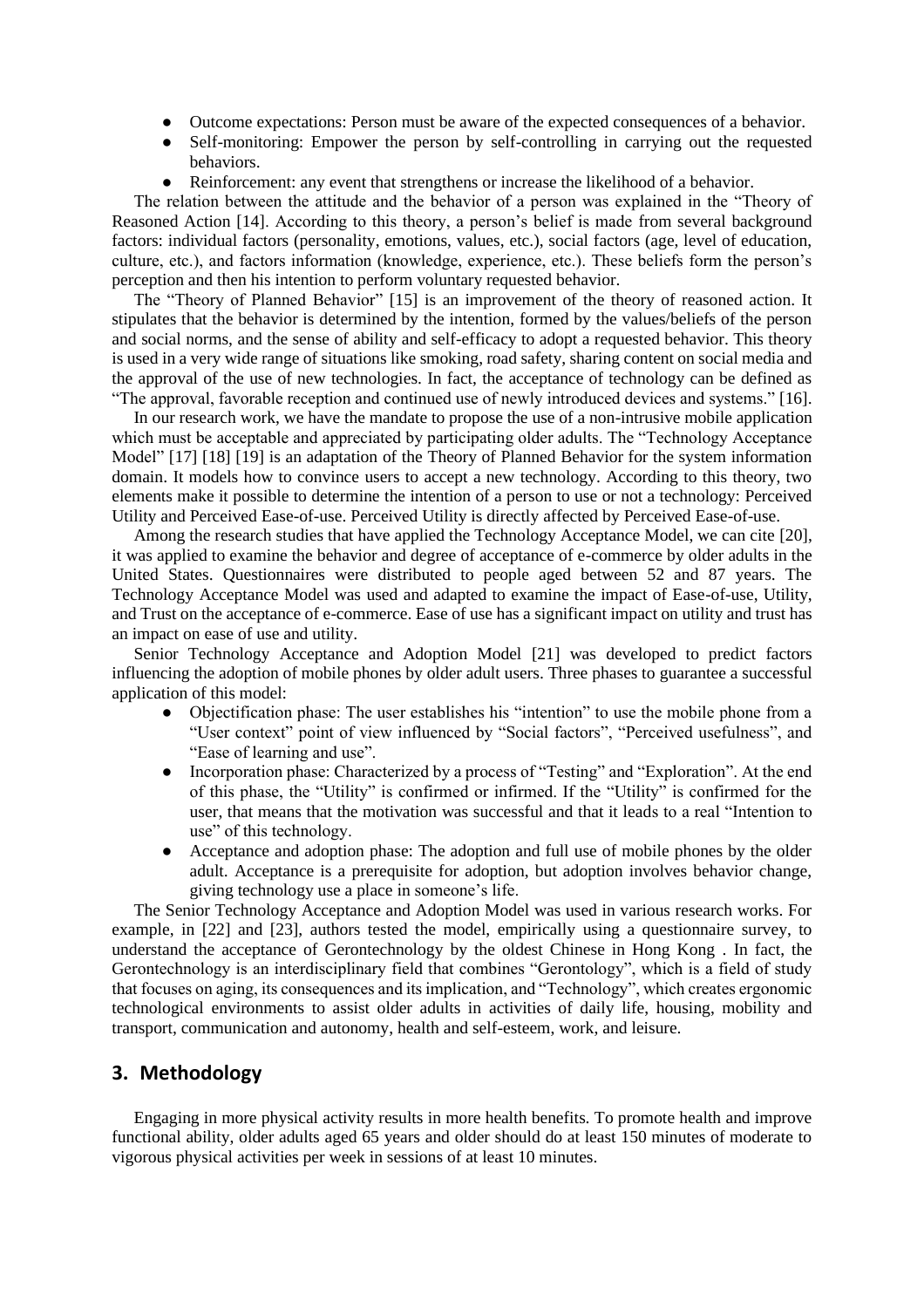- Outcome expectations: Person must be aware of the expected consequences of a behavior.
- Self-monitoring: Empower the person by self-controlling in carrying out the requested behaviors.
- Reinforcement: any event that strengthens or increase the likelihood of a behavior.

The relation between the attitude and the behavior of a person was explained in the "Theory of Reasoned Action [14]. According to this theory, a person's belief is made from several background factors: individual factors (personality, emotions, values, etc.), social factors (age, level of education, culture, etc.), and factors information (knowledge, experience, etc.). These beliefs form the person's perception and then his intention to perform voluntary requested behavior.

The "Theory of Planned Behavior" [15] is an improvement of the theory of reasoned action. It stipulates that the behavior is determined by the intention, formed by the values/beliefs of the person and social norms, and the sense of ability and self-efficacy to adopt a requested behavior. This theory is used in a very wide range of situations like smoking, road safety, sharing content on social media and the approval of the use of new technologies. In fact, the acceptance of technology can be defined as "The approval, favorable reception and continued use of newly introduced devices and systems." [16].

In our research work, we have the mandate to propose the use of a non-intrusive mobile application which must be acceptable and appreciated by participating older adults. The "Technology Acceptance Model" [17] [18] [19] is an adaptation of the Theory of Planned Behavior for the system information domain. It models how to convince users to accept a new technology. According to this theory, two elements make it possible to determine the intention of a person to use or not a technology: Perceived Utility and Perceived Ease-of-use. Perceived Utility is directly affected by Perceived Ease-of-use.

Among the research studies that have applied the Technology Acceptance Model, we can cite [20], it was applied to examine the behavior and degree of acceptance of e-commerce by older adults in the United States. Questionnaires were distributed to people aged between 52 and 87 years. The Technology Acceptance Model was used and adapted to examine the impact of Ease-of-use, Utility, and Trust on the acceptance of e-commerce. Ease of use has a significant impact on utility and trust has an impact on ease of use and utility.

Senior Technology Acceptance and Adoption Model [21] was developed to predict factors influencing the adoption of mobile phones by older adult users. Three phases to guarantee a successful application of this model:

- Objectification phase: The user establishes his "intention" to use the mobile phone from a "User context" point of view influenced by "Social factors", "Perceived usefulness", and "Ease of learning and use".
- Incorporation phase: Characterized by a process of "Testing" and "Exploration". At the end of this phase, the "Utility" is confirmed or infirmed. If the "Utility" is confirmed for the user, that means that the motivation was successful and that it leads to a real "Intention to use" of this technology.
- Acceptance and adoption phase: The adoption and full use of mobile phones by the older adult. Acceptance is a prerequisite for adoption, but adoption involves behavior change, giving technology use a place in someone's life.

The Senior Technology Acceptance and Adoption Model was used in various research works. For example, in [22] and [23], authors tested the model, empirically using a questionnaire survey, to understand the acceptance of Gerontechnology by the oldest Chinese in Hong Kong . In fact, the Gerontechnology is an interdisciplinary field that combines "Gerontology", which is a field of study that focuses on aging, its consequences and its implication, and "Technology", which creates ergonomic technological environments to assist older adults in activities of daily life, housing, mobility and transport, communication and autonomy, health and self-esteem, work, and leisure.

## **3. Methodology**

Engaging in more physical activity results in more health benefits. To promote health and improve functional ability, older adults aged 65 years and older should do at least 150 minutes of moderate to vigorous physical activities per week in sessions of at least 10 minutes.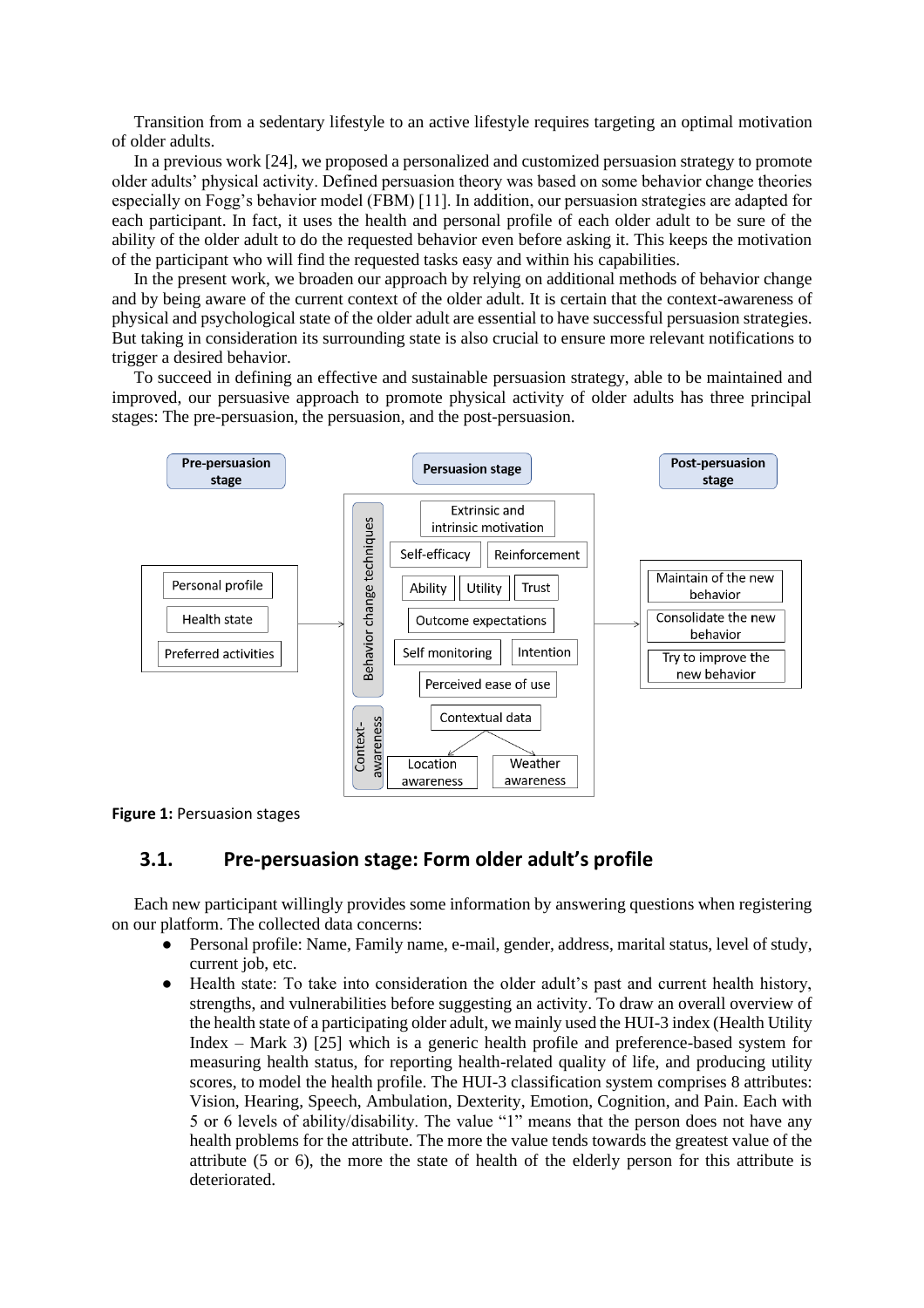Transition from a sedentary lifestyle to an active lifestyle requires targeting an optimal motivation of older adults.

In a previous work [24], we proposed a personalized and customized persuasion strategy to promote older adults' physical activity. Defined persuasion theory was based on some behavior change theories especially on Fogg's behavior model (FBM) [11]. In addition, our persuasion strategies are adapted for each participant. In fact, it uses the health and personal profile of each older adult to be sure of the ability of the older adult to do the requested behavior even before asking it. This keeps the motivation of the participant who will find the requested tasks easy and within his capabilities.

In the present work, we broaden our approach by relying on additional methods of behavior change and by being aware of the current context of the older adult. It is certain that the context-awareness of physical and psychological state of the older adult are essential to have successful persuasion strategies. But taking in consideration its surrounding state is also crucial to ensure more relevant notifications to trigger a desired behavior.

To succeed in defining an effective and sustainable persuasion strategy, able to be maintained and improved, our persuasive approach to promote physical activity of older adults has three principal stages: The pre-persuasion, the persuasion, and the post-persuasion.



**Figure 1:** Persuasion stages

### **3.1. Pre-persuasion stage: Form older adult's profile**

Each new participant willingly provides some information by answering questions when registering on our platform. The collected data concerns:

- Personal profile: Name, Family name, e-mail, gender, address, marital status, level of study, current job, etc.
- Health state: To take into consideration the older adult's past and current health history, strengths, and vulnerabilities before suggesting an activity. To draw an overall overview of the health state of a participating older adult, we mainly used the HUI-3 index (Health Utility Index – Mark 3) [25] which is a generic health profile and preference-based system for measuring health status, for reporting health-related quality of life, and producing utility scores, to model the health profile. The HUI-3 classification system comprises 8 attributes: Vision, Hearing, Speech, Ambulation, Dexterity, Emotion, Cognition, and Pain. Each with 5 or 6 levels of ability/disability. The value "1" means that the person does not have any health problems for the attribute. The more the value tends towards the greatest value of the attribute (5 or 6), the more the state of health of the elderly person for this attribute is deteriorated.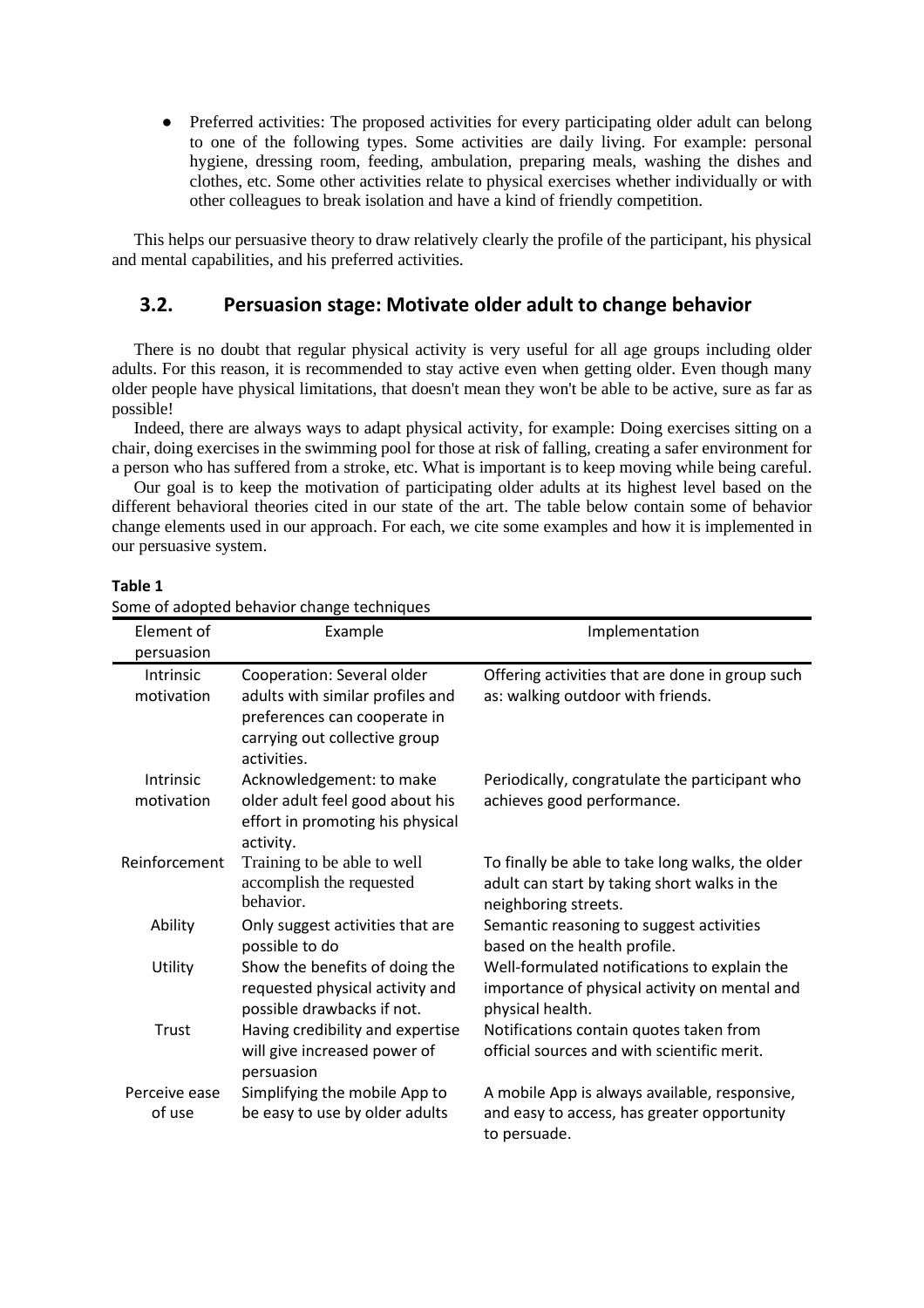• Preferred activities: The proposed activities for every participating older adult can belong to one of the following types. Some activities are daily living. For example: personal hygiene, dressing room, feeding, ambulation, preparing meals, washing the dishes and clothes, etc. Some other activities relate to physical exercises whether individually or with other colleagues to break isolation and have a kind of friendly competition.

This helps our persuasive theory to draw relatively clearly the profile of the participant, his physical and mental capabilities, and his preferred activities.

## **3.2. Persuasion stage: Motivate older adult to change behavior**

There is no doubt that regular physical activity is very useful for all age groups including older adults. For this reason, it is recommended to stay active even when getting older. Even though many older people have physical limitations, that doesn't mean they won't be able to be active, sure as far as possible!

Indeed, there are always ways to adapt physical activity, for example: Doing exercises sitting on a chair, doing exercises in the swimming pool for those at risk of falling, creating a safer environment for a person who has suffered from a stroke, etc. What is important is to keep moving while being careful.

Our goal is to keep the motivation of participating older adults at its highest level based on the different behavioral theories cited in our state of the art. The table below contain some of behavior change elements used in our approach. For each, we cite some examples and how it is implemented in our persuasive system.

| Element of              | Example                                                                                                          | Implementation                                                                                                           |  |  |
|-------------------------|------------------------------------------------------------------------------------------------------------------|--------------------------------------------------------------------------------------------------------------------------|--|--|
| persuasion              |                                                                                                                  |                                                                                                                          |  |  |
| <b>Intrinsic</b>        | Cooperation: Several older                                                                                       | Offering activities that are done in group such                                                                          |  |  |
| motivation              | adults with similar profiles and<br>preferences can cooperate in<br>carrying out collective group<br>activities. | as: walking outdoor with friends.                                                                                        |  |  |
| Intrinsic<br>motivation | Acknowledgement: to make<br>older adult feel good about his<br>effort in promoting his physical<br>activity.     | Periodically, congratulate the participant who<br>achieves good performance.                                             |  |  |
| Reinforcement           | Training to be able to well<br>accomplish the requested<br>behavior.                                             | To finally be able to take long walks, the older<br>adult can start by taking short walks in the<br>neighboring streets. |  |  |
| Ability                 | Only suggest activities that are<br>possible to do                                                               | Semantic reasoning to suggest activities<br>based on the health profile.                                                 |  |  |
| Utility                 | Show the benefits of doing the<br>requested physical activity and<br>possible drawbacks if not.                  | Well-formulated notifications to explain the<br>importance of physical activity on mental and<br>physical health.        |  |  |
| Trust                   | Having credibility and expertise<br>will give increased power of<br>persuasion                                   | Notifications contain quotes taken from<br>official sources and with scientific merit.                                   |  |  |
| Perceive ease           | Simplifying the mobile App to                                                                                    | A mobile App is always available, responsive,                                                                            |  |  |
| of use                  | be easy to use by older adults                                                                                   | and easy to access, has greater opportunity<br>to persuade.                                                              |  |  |

**Table 1**

Some of adopted behavior change techniques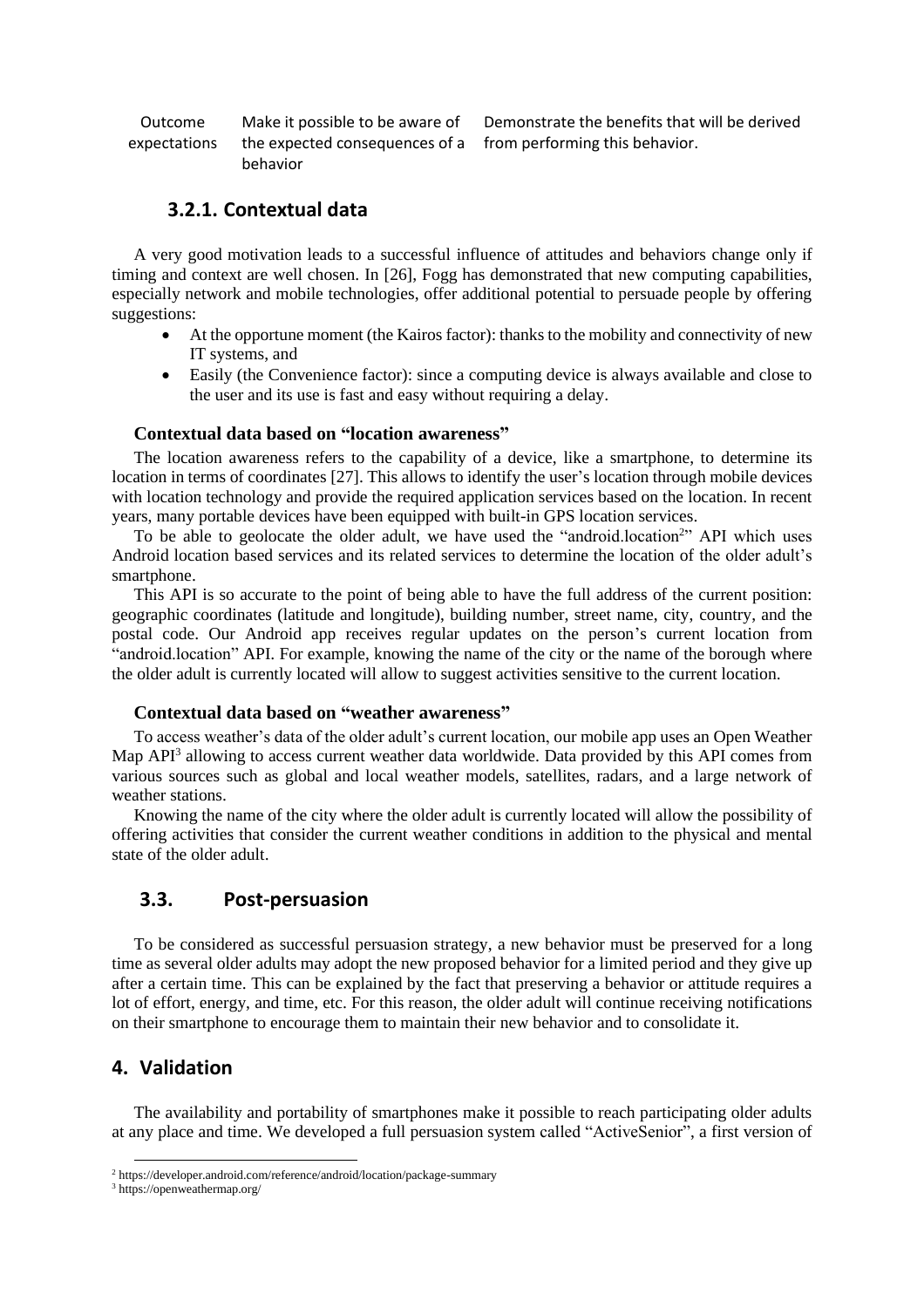Outcome expectations Make it possible to be aware of the expected consequences of a behavior

Demonstrate the benefits that will be derived from performing this behavior.

### **3.2.1. Contextual data**

A very good motivation leads to a successful influence of attitudes and behaviors change only if timing and context are well chosen. In [26], Fogg has demonstrated that new computing capabilities, especially network and mobile technologies, offer additional potential to persuade people by offering suggestions:

- At the opportune moment (the Kairos factor): thanks to the mobility and connectivity of new IT systems, and
- Easily (the Convenience factor): since a computing device is always available and close to the user and its use is fast and easy without requiring a delay.

### **Contextual data based on "location awareness"**

The location awareness refers to the capability of a device, like a smartphone, to determine its location in terms of coordinates [27]. This allows to identify the user's location through mobile devices with location technology and provide the required application services based on the location. In recent years, many portable devices have been equipped with built-in GPS location services.

To be able to geolocate the older adult, we have used the "android.location<sup>2</sup>" API which uses Android location based services and its related services to determine the location of the older adult's smartphone.

This API is so accurate to the point of being able to have the full address of the current position: geographic coordinates (latitude and longitude), building number, street name, city, country, and the postal code. Our Android app receives regular updates on the person's current location from "android.location" API. For example, knowing the name of the city or the name of the borough where the older adult is currently located will allow to suggest activities sensitive to the current location.

### **Contextual data based on "weather awareness"**

To access weather's data of the older adult's current location, our mobile app uses an Open Weather Map API<sup>3</sup> allowing to access current weather data worldwide. Data provided by this API comes from various sources such as global and local weather models, satellites, radars, and a large network of weather stations.

Knowing the name of the city where the older adult is currently located will allow the possibility of offering activities that consider the current weather conditions in addition to the physical and mental state of the older adult.

### **3.3. Post-persuasion**

To be considered as successful persuasion strategy, a new behavior must be preserved for a long time as several older adults may adopt the new proposed behavior for a limited period and they give up after a certain time. This can be explained by the fact that preserving a behavior or attitude requires a lot of effort, energy, and time, etc. For this reason, the older adult will continue receiving notifications on their smartphone to encourage them to maintain their new behavior and to consolidate it.

### **4. Validation**

The availability and portability of smartphones make it possible to reach participating older adults at any place and time. We developed a full persuasion system called "ActiveSenior", a first version of

<sup>2</sup> https://developer.android.com/reference/android/location/package-summary

<sup>3</sup> https://openweathermap.org/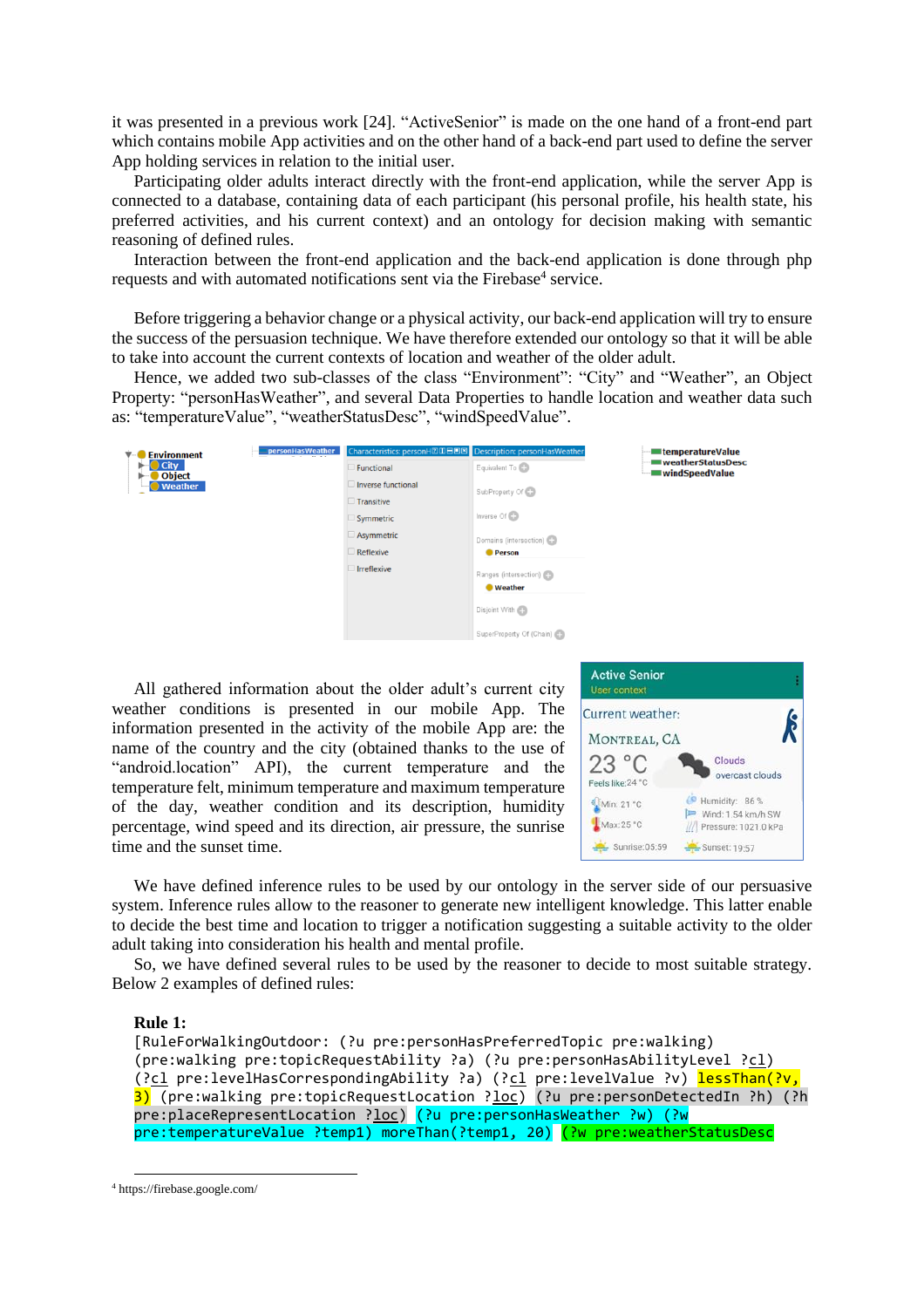it was presented in a previous work [24]. "ActiveSenior" is made on the one hand of a front-end part which contains mobile App activities and on the other hand of a back-end part used to define the server App holding services in relation to the initial user.

Participating older adults interact directly with the front-end application, while the server App is connected to a database, containing data of each participant (his personal profile, his health state, his preferred activities, and his current context) and an ontology for decision making with semantic reasoning of defined rules.

Interaction between the front-end application and the back-end application is done through php requests and with automated notifications sent via the Firebase<sup>4</sup> service.

Before triggering a behavior change or a physical activity, our back-end application will try to ensure the success of the persuasion technique. We have therefore extended our ontology so that it will be able to take into account the current contexts of location and weather of the older adult.

Hence, we added two sub-classes of the class "Environment": "City" and "Weather", an Object Property: "personHasWeather", and several Data Properties to handle location and weather data such as: "temperatureValue", "weatherStatusDesc", "windSpeedValue".

| <b>Environment</b>         | personHasWeather<br>$\overline{\phantom{a}}$ | Characteristics: personH2IDEDE Description: personHasWeather |                          | <b>EntemperatureValue</b>           |
|----------------------------|----------------------------------------------|--------------------------------------------------------------|--------------------------|-------------------------------------|
| City<br>►<br><b>Object</b> |                                              | Functional                                                   | Equivalent To            | weatherStatusDesc<br>windSpeedValue |
| <b>Weather</b><br>۰        |                                              | Inverse functional                                           | SubProperty Of CD        |                                     |
|                            |                                              | $\Box$ Transitive                                            |                          |                                     |
|                            |                                              | Symmetric                                                    | Inverse Of C             |                                     |
|                            |                                              | Asymmetric                                                   | Domains (intersection)   |                                     |
|                            |                                              | Reflexive                                                    | <b>Person</b>            |                                     |
|                            |                                              | Irreflexive                                                  | Ranges (intersection)    |                                     |
|                            |                                              |                                                              | <b>Weather</b>           |                                     |
|                            |                                              |                                                              | Disjoint With            |                                     |
|                            |                                              |                                                              | SuperProperty Of (Chain) |                                     |

All gathered information about the older adult's current city weather conditions is presented in our mobile App. The information presented in the activity of the mobile App are: the name of the country and the city (obtained thanks to the use of "android.location" API), the current temperature and the temperature felt, minimum temperature and maximum temperature of the day, weather condition and its description, humidity percentage, wind speed and its direction, air pressure, the sunrise time and the sunset time.



We have defined inference rules to be used by our ontology in the server side of our persuasive system. Inference rules allow to the reasoner to generate new intelligent knowledge. This latter enable to decide the best time and location to trigger a notification suggesting a suitable activity to the older adult taking into consideration his health and mental profile.

So, we have defined several rules to be used by the reasoner to decide to most suitable strategy. Below 2 examples of defined rules:

#### **Rule 1:**

```
[RuleForWalkingOutdoor: (?u pre:personHasPreferredTopic pre:walking) 
(pre:walking pre:topicRequestAbility ?a) (?u pre:personHasAbilityLevel ?cl)
(?cl pre:levelHasCorrespondingAbility ?a) (?cl pre:levelValue ?v) lessThan(?v,
3) (pre:walking pre:topicRequestLocation ?loc) (?u pre:personDetectedIn ?h) (?h
pre:placeRepresentLocation ?<u>loc</u>) (?u pre:personHasWeather ?w) (?w
pre:temperatureValue ?temp1) moreThan(?temp1, 20) (?w pre:weatherStatusDesc
```

```
4 https://firebase.google.com/
```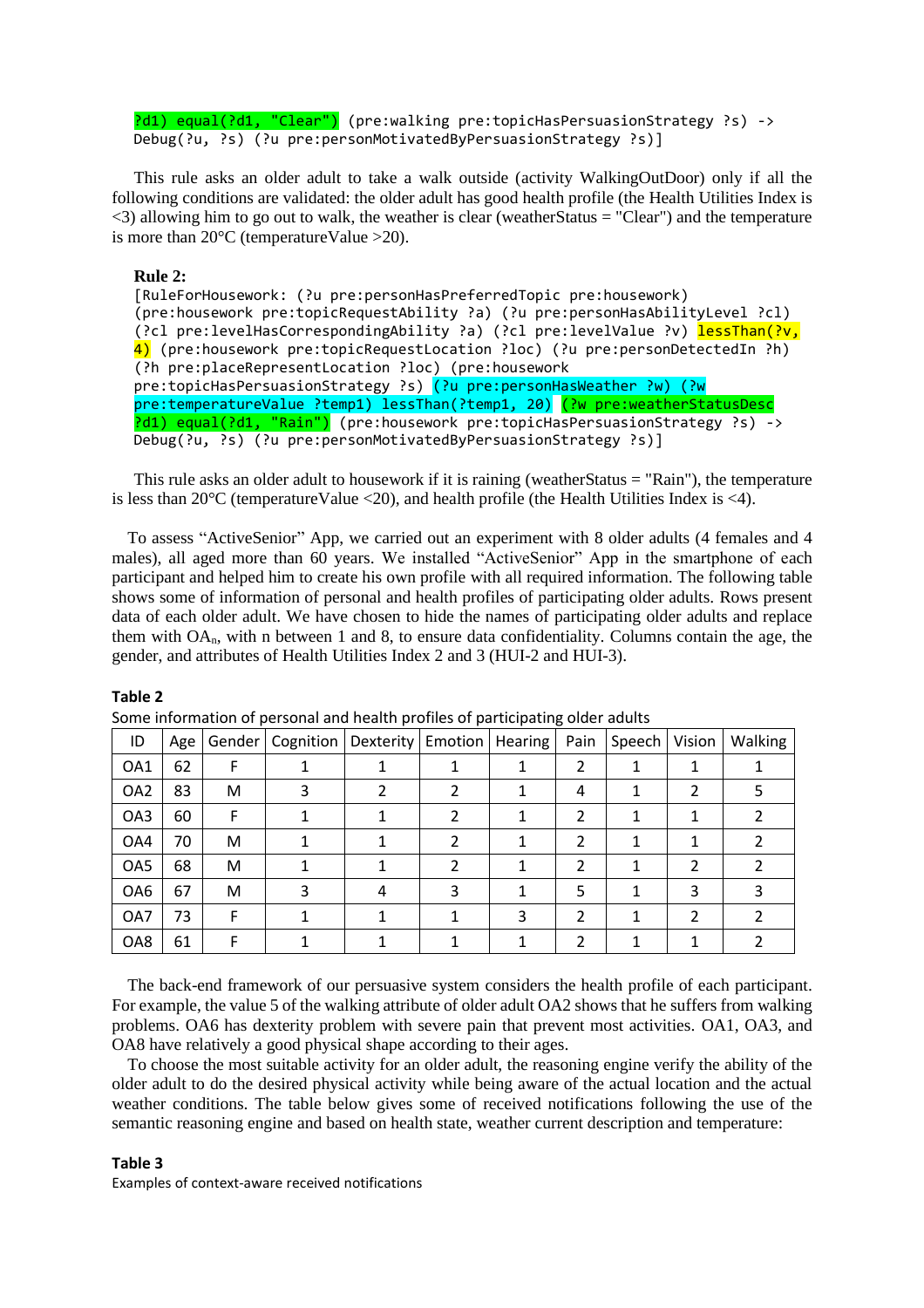?d1) equal(?d1, "Clear") (pre:walking pre:topicHasPersuasionStrategy ?s) -> Debug(?u, ?s) (?u pre:personMotivatedByPersuasionStrategy ?s)]

This rule asks an older adult to take a walk outside (activity WalkingOutDoor) only if all the following conditions are validated: the older adult has good health profile (the Health Utilities Index is  $\langle$ 3) allowing him to go out to walk, the weather is clear (weather Status = "Clear") and the temperature is more than  $20^{\circ}$ C (temperatureValue >20).

#### **Rule 2:**

[RuleForHousework: (?u pre:personHasPreferredTopic pre:housework) (pre:housework pre:topicRequestAbility ?a) (?u pre:personHasAbilityLevel ?cl) (?cl pre:levelHasCorrespondingAbility ?a) (?cl pre:levelValue ?v) lessThan(?v, 4) (pre:housework pre:topicRequestLocation ?loc) (?u pre:personDetectedIn ?h) (?h pre:placeRepresentLocation ?loc) (pre:housework pre:topicHasPersuasionStrategy ?s) (?u pre:personHasWeather ?w) (?w pre:temperatureValue ?temp1) lessThan(?temp1, 20) (?w pre:weatherStatusDesc ?d1) equal(?d1, "Rain") (pre:housework pre:topicHasPersuasionStrategy ?s) -> Debug(?u, ?s) (?u pre:personMotivatedByPersuasionStrategy ?s)]

This rule asks an older adult to housework if it is raining (weatherStatus = "Rain"), the temperature is less than  $20^{\circ}$ C (temperature Value <20), and health profile (the Health Utilities Index is <4).

To assess "ActiveSenior" App, we carried out an experiment with 8 older adults (4 females and 4 males), all aged more than 60 years. We installed "ActiveSenior" App in the smartphone of each participant and helped him to create his own profile with all required information. The following table shows some of information of personal and health profiles of participating older adults. Rows present data of each older adult. We have chosen to hide the names of participating older adults and replace them with OAn, with n between 1 and 8, to ensure data confidentiality. Columns contain the age, the gender, and attributes of Health Utilities Index 2 and 3 (HUI-2 and HUI-3).

#### **Table 2**

| ID              | Age |   | Gender   Cognition   Dexterity   Emotion   Hearing |   |   |   | Pain | Speech Vision |   | Walking |
|-----------------|-----|---|----------------------------------------------------|---|---|---|------|---------------|---|---------|
| OA1             | 62  |   |                                                    |   |   |   | 2    |               |   |         |
| OA <sub>2</sub> | 83  | M |                                                    |   |   |   | 4    |               |   |         |
| OA3             | 60  | F |                                                    |   |   |   | 2    |               |   |         |
| OA4             | 70  | М |                                                    |   |   |   | 2    |               |   |         |
| OA5             | 68  | М |                                                    |   |   |   | 2    |               | 2 |         |
| OA6             | 67  | M |                                                    | 4 | 3 |   | 5    |               | 3 |         |
| OA7             | 73  | F |                                                    |   |   | 3 | 2    |               |   |         |
| OA8             | 61  |   |                                                    |   |   |   | 2    |               |   |         |

Some information of personal and health profiles of participating older adults

The back-end framework of our persuasive system considers the health profile of each participant. For example, the value 5 of the walking attribute of older adult OA2 shows that he suffers from walking problems. OA6 has dexterity problem with severe pain that prevent most activities. OA1, OA3, and OA8 have relatively a good physical shape according to their ages.

To choose the most suitable activity for an older adult, the reasoning engine verify the ability of the older adult to do the desired physical activity while being aware of the actual location and the actual weather conditions. The table below gives some of received notifications following the use of the semantic reasoning engine and based on health state, weather current description and temperature:

#### **Table 3**

Examples of context-aware received notifications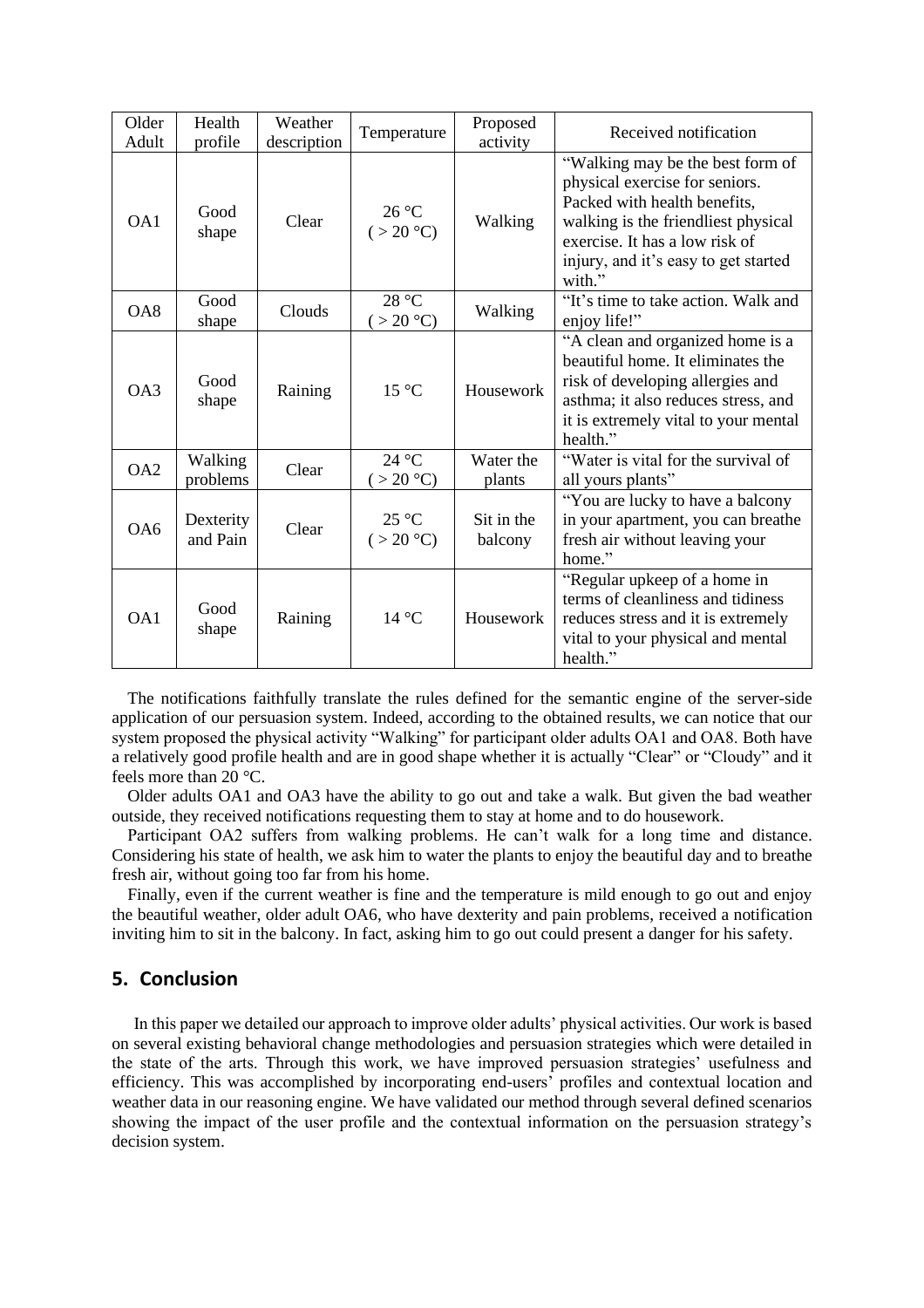| Older<br>Adult  | Health<br>profile     | Weather<br>description | Temperature                | Proposed<br>activity  | Received notification                                                                                                                                                                                                         |
|-----------------|-----------------------|------------------------|----------------------------|-----------------------|-------------------------------------------------------------------------------------------------------------------------------------------------------------------------------------------------------------------------------|
| OA1             | Good<br>shape         | Clear                  | 26 °C<br>(>20 °C)          | Walking               | "Walking may be the best form of<br>physical exercise for seniors.<br>Packed with health benefits,<br>walking is the friendliest physical<br>exercise. It has a low risk of<br>injury, and it's easy to get started<br>with." |
| OA8             | Good<br>shape         | Clouds                 | 28 °C<br>(>20 °C)          | Walking               | "It's time to take action. Walk and<br>enjoy life!"                                                                                                                                                                           |
| OA3             | Good<br>shape         | Raining                | $15^{\circ}$ C             | Housework             | "A clean and organized home is a<br>beautiful home. It eliminates the<br>risk of developing allergies and<br>asthma; it also reduces stress, and<br>it is extremely vital to your mental<br>health."                          |
| OA <sub>2</sub> | Walking<br>problems   | Clear                  | 24 °C<br>(>20 °C)          | Water the<br>plants   | "Water is vital for the survival of<br>all yours plants"                                                                                                                                                                      |
| OA6             | Dexterity<br>and Pain | Clear                  | $25^{\circ}$ C<br>(>20 °C) | Sit in the<br>balcony | "You are lucky to have a balcony"<br>in your apartment, you can breathe<br>fresh air without leaving your<br>home."                                                                                                           |
| OA1             | Good<br>shape         | Raining                | $14^{\circ}$ C             | Housework             | "Regular upkeep of a home in<br>terms of cleanliness and tidiness<br>reduces stress and it is extremely<br>vital to your physical and mental<br>health."                                                                      |

The notifications faithfully translate the rules defined for the semantic engine of the server-side application of our persuasion system. Indeed, according to the obtained results, we can notice that our system proposed the physical activity "Walking" for participant older adults OA1 and OA8. Both have a relatively good profile health and are in good shape whether it is actually "Clear" or "Cloudy" and it feels more than 20 °C.

Older adults OA1 and OA3 have the ability to go out and take a walk. But given the bad weather outside, they received notifications requesting them to stay at home and to do housework.

Participant OA2 suffers from walking problems. He can't walk for a long time and distance. Considering his state of health, we ask him to water the plants to enjoy the beautiful day and to breathe fresh air, without going too far from his home.

Finally, even if the current weather is fine and the temperature is mild enough to go out and enjoy the beautiful weather, older adult OA6, who have dexterity and pain problems, received a notification inviting him to sit in the balcony. In fact, asking him to go out could present a danger for his safety.

### **5. Conclusion**

In this paper we detailed our approach to improve older adults' physical activities. Our work is based on several existing behavioral change methodologies and persuasion strategies which were detailed in the state of the arts. Through this work, we have improved persuasion strategies' usefulness and efficiency. This was accomplished by incorporating end-users' profiles and contextual location and weather data in our reasoning engine. We have validated our method through several defined scenarios showing the impact of the user profile and the contextual information on the persuasion strategy's decision system.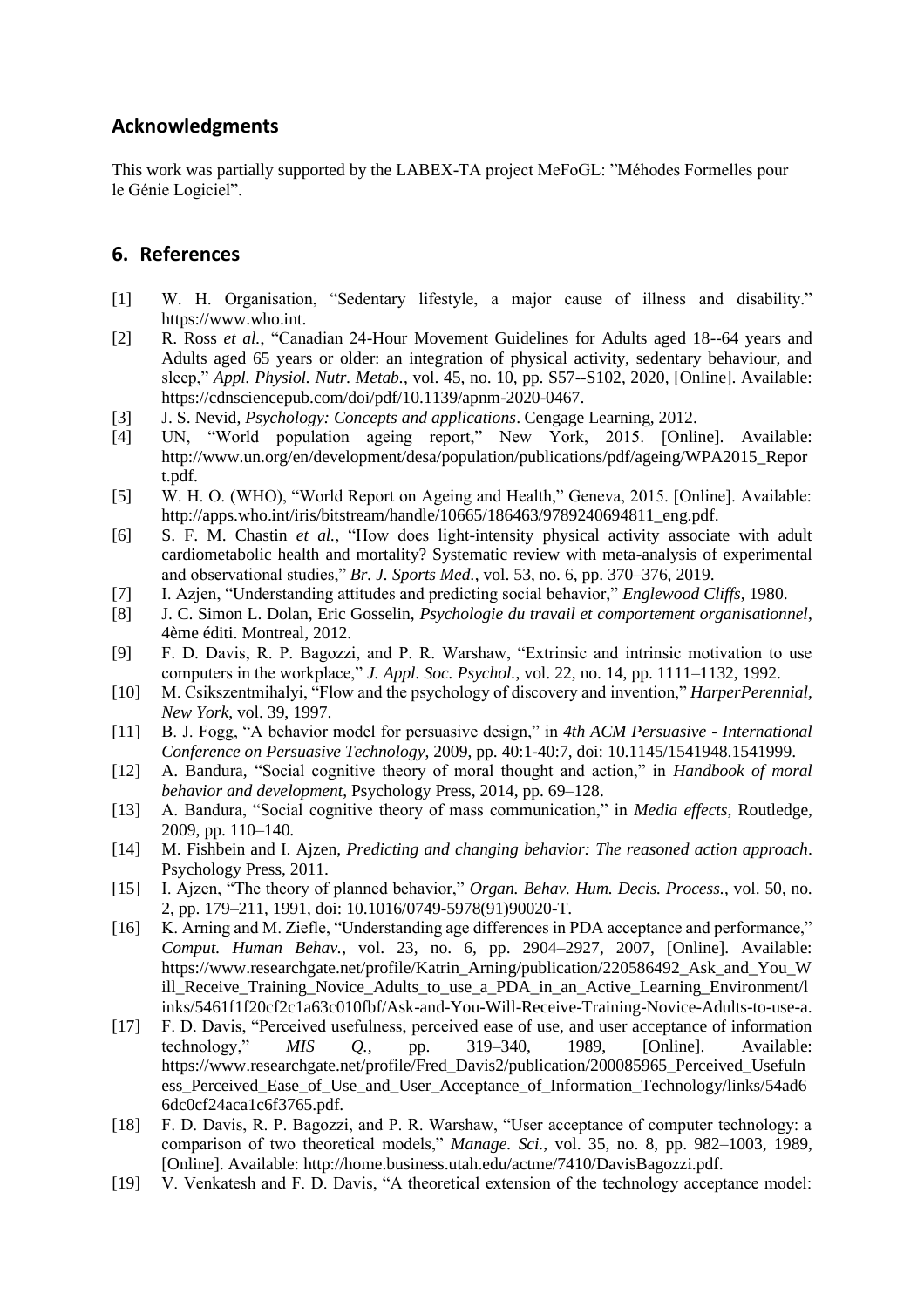# **Acknowledgments**

This work was partially supported by the LABEX-TA project MeFoGL: "Méhodes Formelles pour le Génie Logiciel".

# **6. References**

- [1] W. H. Organisation, "Sedentary lifestyle, a major cause of illness and disability." https://www.who.int.
- [2] R. Ross *et al.*, "Canadian 24-Hour Movement Guidelines for Adults aged 18--64 years and Adults aged 65 years or older: an integration of physical activity, sedentary behaviour, and sleep," *Appl. Physiol. Nutr. Metab.*, vol. 45, no. 10, pp. S57--S102, 2020, [Online]. Available: https://cdnsciencepub.com/doi/pdf/10.1139/apnm-2020-0467.
- [3] J. S. Nevid, *Psychology: Concepts and applications*. Cengage Learning, 2012.
- [4] UN, "World population ageing report," New York, 2015. [Online]. Available: http://www.un.org/en/development/desa/population/publications/pdf/ageing/WPA2015\_Repor t.pdf.
- [5] W. H. O. (WHO), "World Report on Ageing and Health," Geneva, 2015. [Online]. Available: http://apps.who.int/iris/bitstream/handle/10665/186463/9789240694811\_eng.pdf.
- [6] S. F. M. Chastin *et al.*, "How does light-intensity physical activity associate with adult cardiometabolic health and mortality? Systematic review with meta-analysis of experimental and observational studies," *Br. J. Sports Med.*, vol. 53, no. 6, pp. 370–376, 2019.
- [7] I. Azjen, "Understanding attitudes and predicting social behavior," *Englewood Cliffs*, 1980.
- [8] J. C. Simon L. Dolan, Eric Gosselin, *Psychologie du travail et comportement organisationnel*, 4ème éditi. Montreal, 2012.
- [9] F. D. Davis, R. P. Bagozzi, and P. R. Warshaw, "Extrinsic and intrinsic motivation to use computers in the workplace," *J. Appl. Soc. Psychol.*, vol. 22, no. 14, pp. 1111–1132, 1992.
- [10] M. Csikszentmihalyi, "Flow and the psychology of discovery and invention," *HarperPerennial, New York*, vol. 39, 1997.
- [11] B. J. Fogg, "A behavior model for persuasive design," in *4th ACM Persuasive - International Conference on Persuasive Technology*, 2009, pp. 40:1-40:7, doi: 10.1145/1541948.1541999.
- [12] A. Bandura, "Social cognitive theory of moral thought and action," in *Handbook of moral behavior and development*, Psychology Press, 2014, pp. 69–128.
- [13] A. Bandura, "Social cognitive theory of mass communication," in *Media effects*, Routledge, 2009, pp. 110–140.
- [14] M. Fishbein and I. Ajzen, *Predicting and changing behavior: The reasoned action approach*. Psychology Press, 2011.
- [15] I. Ajzen, "The theory of planned behavior," *Organ. Behav. Hum. Decis. Process.*, vol. 50, no. 2, pp. 179–211, 1991, doi: 10.1016/0749-5978(91)90020-T.
- [16] K. Arning and M. Ziefle, "Understanding age differences in PDA acceptance and performance," *Comput. Human Behav.*, vol. 23, no. 6, pp. 2904–2927, 2007, [Online]. Available: https://www.researchgate.net/profile/Katrin\_Arning/publication/220586492\_Ask\_and\_You\_W ill\_Receive\_Training\_Novice\_Adults\_to\_use\_a\_PDA\_in\_an\_Active\_Learning\_Environment/l inks/5461f1f20cf2c1a63c010fbf/Ask-and-You-Will-Receive-Training-Novice-Adults-to-use-a.
- [17] F. D. Davis, "Perceived usefulness, perceived ease of use, and user acceptance of information technology," *MIS Q.*, pp. 319–340, 1989, [Online]. Available: https://www.researchgate.net/profile/Fred\_Davis2/publication/200085965\_Perceived\_Usefuln ess\_Perceived\_Ease\_of\_Use\_and\_User\_Acceptance\_of\_Information\_Technology/links/54ad6 6dc0cf24aca1c6f3765.pdf.
- [18] F. D. Davis, R. P. Bagozzi, and P. R. Warshaw, "User acceptance of computer technology: a comparison of two theoretical models," *Manage. Sci.*, vol. 35, no. 8, pp. 982–1003, 1989, [Online]. Available: http://home.business.utah.edu/actme/7410/DavisBagozzi.pdf.
- [19] V. Venkatesh and F. D. Davis, "A theoretical extension of the technology acceptance model: